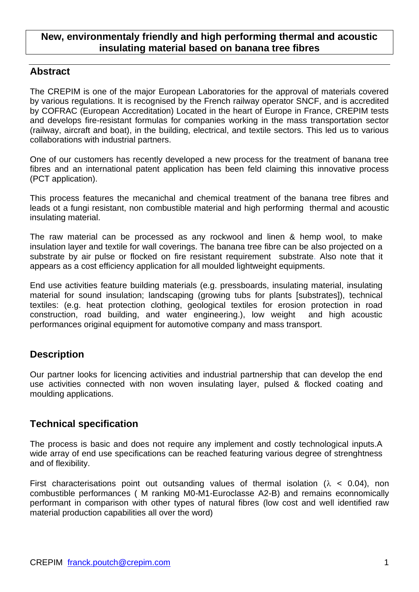## **New, environmentaly friendly and high performing thermal and acoustic insulating material based on banana tree fibres**

## **Abstract**

The CREPIM is one of the major European Laboratories for the approval of materials covered by various regulations. It is recognised by the French railway operator SNCF, and is accredited by COFRAC (European Accreditation) Located in the heart of Europe in France, CREPIM tests and develops fire-resistant formulas for companies working in the mass transportation sector (railway, aircraft and boat), in the building, electrical, and textile sectors. This led us to various collaborations with industrial partners.

One of our customers has recently developed a new process for the treatment of banana tree fibres and an international patent application has been feld claiming this innovative process (PCT application).

This process features the mecanichal and chemical treatment of the banana tree fibres and leads ot a fungi resistant, non combustible material and high performing thermal and acoustic insulating material.

The raw material can be processed as any rockwool and linen & hemp wool, to make insulation layer and textile for wall coverings. The banana tree fibre can be also projected on a substrate by air pulse or flocked on fire resistant requirement substrate. Also note that it appears as a cost efficiency application for all moulded lightweight equipments.

End use activities feature building materials (e.g. pressboards, insulating material, insulating material for sound insulation; landscaping (growing tubs for plants [substrates]), technical textiles: (e.g. heat protection clothing, geological textiles for erosion protection in road construction, road building, and water engineering.), low weight and high acoustic performances original equipment for automotive company and mass transport.

# **Description**

Our partner looks for licencing activities and industrial partnership that can develop the end use activities connected with non woven insulating layer, pulsed & flocked coating and moulding applications.

## **Technical specification**

The process is basic and does not require any implement and costly technological inputs.A wide array of end use specifications can be reached featuring various degree of strenghtness and of flexibility.

First characterisations point out outsanding values of thermal isolation ( $\lambda$  < 0.04), non combustible performances ( M ranking M0-M1-Euroclasse A2-B) and remains econnomically performant in comparison with other types of natural fibres (low cost and well identified raw material production capabilities all over the word)